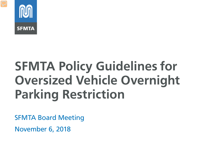

# **SFMTA Policy Guidelines for Oversized Vehicle Overnight Parking Restriction**

SFMTA Board Meeting

November 6, 2018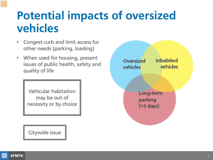#### **Potential impacts of oversized vehicles**

- Congest curb and limit access for other needs (parking, loading)
- When used for housing, present issues of public health, safety and quality of life

Vehicular habitation may be out of necessity or by choice

Citywide issue



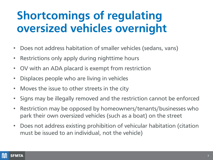### **Shortcomings of regulating oversized vehicles overnight**

- Does not address habitation of smaller vehicles (sedans, vans)
- Restrictions only apply during nighttime hours
- OV with an ADA placard is exempt from restriction
- Displaces people who are living in vehicles
- Moves the issue to other streets in the city
- Signs may be illegally removed and the restriction cannot be enforced
- Restriction may be opposed by homeowners/tenants/businesses who park their own oversized vehicles (such as a boat) on the street
- Does not address existing prohibition of vehicular habitation (citation must be issued to an individual, not the vehicle)

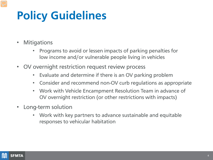## **Policy Guidelines**

- Mitigations
	- Programs to avoid or lessen impacts of parking penalties for low income and/or vulnerable people living in vehicles
- OV overnight restriction request review process
	- Evaluate and determine if there is an OV parking problem
	- Consider and recommend non-OV curb regulations as appropriate
	- Work with Vehicle Encampment Resolution Team in advance of OV overnight restriction (or other restrictions with impacts)
- Long-term solution
	- Work with key partners to advance sustainable and equitable responses to vehicular habitation